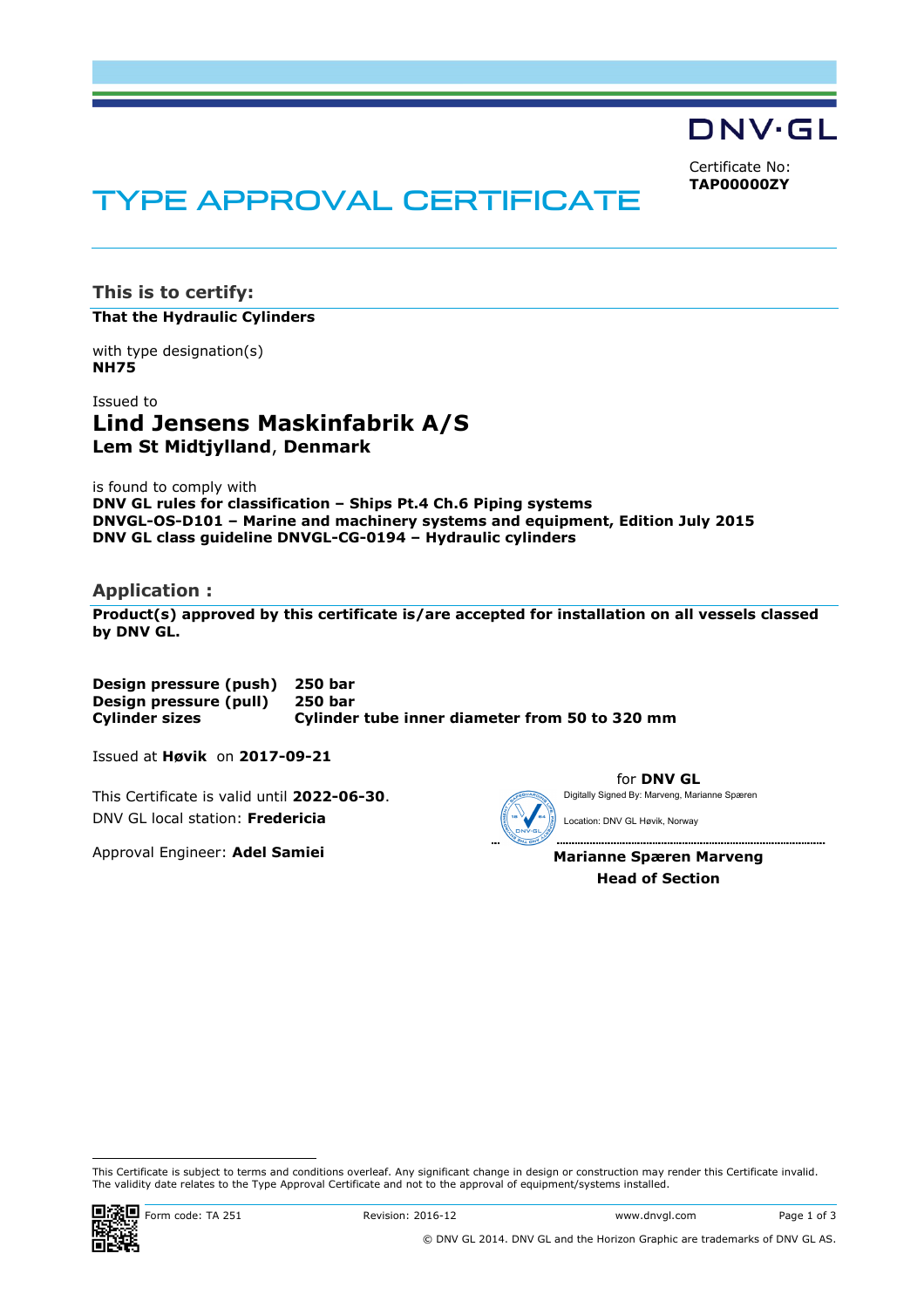DNV·GL

Certificate No: **TAP00000ZY**

# TYPE APPROVAL CERTIFICATE

**This is to certify:** 

**That the Hydraulic Cylinders**

with type designation(s) **NH75**

Issued to **Lind Jensens Maskinfabrik A/S Lem St Midtjylland**, **Denmark** 

is found to comply with **DNV GL rules for classification – Ships Pt.4 Ch.6 Piping systems DNVGL-OS-D101 – Marine and machinery systems and equipment, Edition July 2015 DNV GL class guideline DNVGL-CG-0194 – Hydraulic cylinders** 

## **Application :**

**Product(s) approved by this certificate is/are accepted for installation on all vessels classed by DNV GL.** 

**Design pressure (push) 250 bar Design pressure (pull) 250 bar Cylinder sizes Cylinder tube inner diameter from 50 to 320 mm**

Issued at **Høvik** on **2017-09-21**

This Certificate is valid until **2022-06-30**. DNV GL local station: **Fredericia**

Approval Engineer: **Adel Samiei**



**Marianne Spæren Marveng Head of Section** 

 This Certificate is subject to terms and conditions overleaf. Any significant change in design or construction may render this Certificate invalid. The validity date relates to the Type Approval Certificate and not to the approval of equipment/systems installed.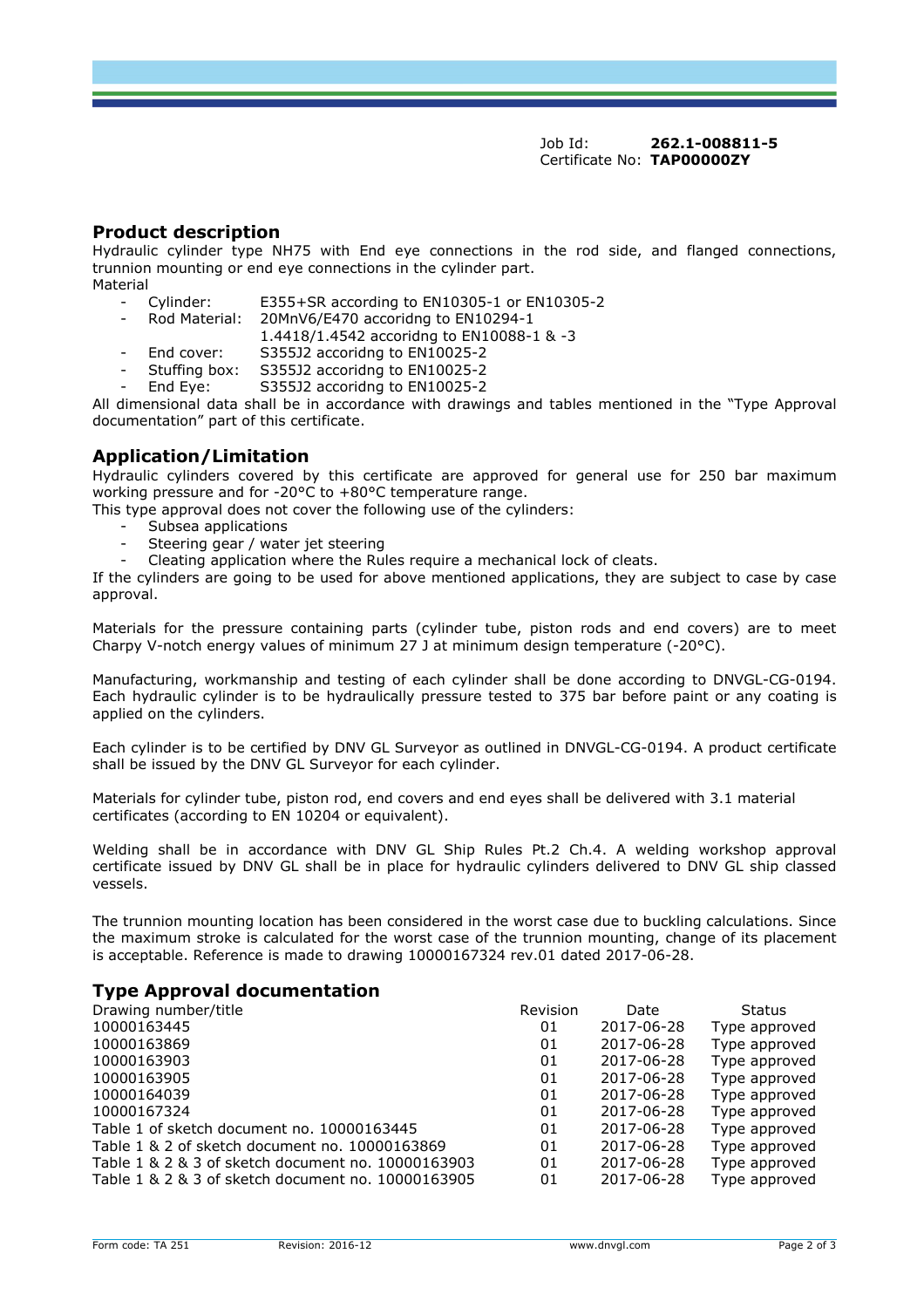Job Id: **262.1-008811-5**  Certificate No: **TAP00000ZY**

#### **Product description**

Hydraulic cylinder type NH75 with End eye connections in the rod side, and flanged connections, trunnion mounting or end eye connections in the cylinder part. Material

- Cylinder: E355+SR according to EN10305-1 or EN10305-2
- Rod Material: 20MnV6/E470 accoridng to EN10294-1

1.4418/1.4542 accoridng to EN10088-1 & -3

- End cover: S355J2 accoridng to EN10025-2
- Stuffing box: S355J2 accoridng to EN10025-2
- End Eye: S355J2 accoridng to EN10025-2

All dimensional data shall be in accordance with drawings and tables mentioned in the "Type Approval documentation" part of this certificate.

## **Application/Limitation**

Hydraulic cylinders covered by this certificate are approved for general use for 250 bar maximum working pressure and for -20°C to +80°C temperature range.

This type approval does not cover the following use of the cylinders:

- Subsea applications
- Steering gear / water jet steering
- Cleating application where the Rules require a mechanical lock of cleats.

If the cylinders are going to be used for above mentioned applications, they are subject to case by case approval.

Materials for the pressure containing parts (cylinder tube, piston rods and end covers) are to meet Charpy V-notch energy values of minimum 27 J at minimum design temperature (-20°C).

Manufacturing, workmanship and testing of each cylinder shall be done according to DNVGL-CG-0194. Each hydraulic cylinder is to be hydraulically pressure tested to 375 bar before paint or any coating is applied on the cylinders.

Each cylinder is to be certified by DNV GL Surveyor as outlined in DNVGL-CG-0194. A product certificate shall be issued by the DNV GL Surveyor for each cylinder.

Materials for cylinder tube, piston rod, end covers and end eyes shall be delivered with 3.1 material certificates (according to EN 10204 or equivalent).

Welding shall be in accordance with DNV GL Ship Rules Pt.2 Ch.4. A welding workshop approval certificate issued by DNV GL shall be in place for hydraulic cylinders delivered to DNV GL ship classed vessels.

The trunnion mounting location has been considered in the worst case due to buckling calculations. Since the maximum stroke is calculated for the worst case of the trunnion mounting, change of its placement is acceptable. Reference is made to drawing 10000167324 rev.01 dated 2017-06-28.

#### **Type Approval documentation**

| Drawing number/title                               | Revision | Date       | <b>Status</b> |
|----------------------------------------------------|----------|------------|---------------|
| 10000163445                                        | 01       | 2017-06-28 | Type approved |
| 10000163869                                        | 01       | 2017-06-28 | Type approved |
| 10000163903                                        | 01       | 2017-06-28 | Type approved |
| 10000163905                                        | 01       | 2017-06-28 | Type approved |
| 10000164039                                        | 01       | 2017-06-28 | Type approved |
| 10000167324                                        | 01       | 2017-06-28 | Type approved |
| Table 1 of sketch document no. 10000163445         | 01       | 2017-06-28 | Type approved |
| Table 1 & 2 of sketch document no. 10000163869     | 01       | 2017-06-28 | Type approved |
| Table 1 & 2 & 3 of sketch document no. 10000163903 | 01       | 2017-06-28 | Type approved |
| Table 1 & 2 & 3 of sketch document no. 10000163905 | 01       | 2017-06-28 | Type approved |
|                                                    |          |            |               |